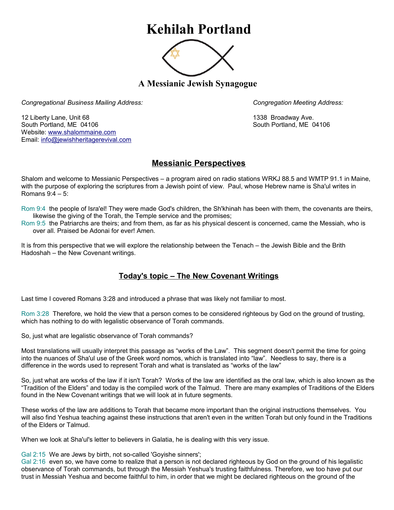## **Kehilah Portland**



**A Messianic Jewish Synagogue** 

*Congregational Business Mailing Address: Congregation Meeting Address:*

12 Liberty Lane, Unit 68 1338 Broadway Ave. South Portland, ME 04106 South Portland, ME 04106 Website: [www.shalommaine.com](http://www.shalommaine.com/) Email: [info@jewishheritagerevival.com](mailto:info@jewishheritagerevival.com) 

## **Messianic Perspectives**

Shalom and welcome to Messianic Perspectives – a program aired on radio stations WRKJ 88.5 and WMTP 91.1 in Maine, with the purpose of exploring the scriptures from a Jewish point of view. Paul, whose Hebrew name is Sha'ul writes in Romans 9:4 – 5:

Rom 9:4 the people of Isra'el! They were made God's children, the Sh'khinah has been with them, the covenants are theirs, likewise the giving of the Torah, the Temple service and the promises;

Rom 9:5 the Patriarchs are theirs; and from them, as far as his physical descent is concerned, came the Messiah, who is over all. Praised be Adonai for ever! Amen.

It is from this perspective that we will explore the relationship between the Tenach – the Jewish Bible and the Brith Hadoshah – the New Covenant writings.

## **Today's topic – The New Covenant Writings**

Last time I covered Romans 3:28 and introduced a phrase that was likely not familiar to most.

Rom 3:28 Therefore, we hold the view that a person comes to be considered righteous by God on the ground of trusting, which has nothing to do with legalistic observance of Torah commands.

So, just what are legalistic observance of Torah commands?

Most translations will usually interpret this passage as "works of the Law". This segment doesn't permit the time for going into the nuances of Sha'ul use of the Greek word nomos, which is translated into "law". Needless to say, there is a difference in the words used to represent Torah and what is translated as "works of the law"

So, just what are works of the law if it isn't Torah? Works of the law are identified as the oral law, which is also known as the "Tradition of the Elders" and today is the compiled work of the Talmud. There are many examples of Traditions of the Elders found in the New Covenant writings that we will look at in future segments.

These works of the law are additions to Torah that became more important than the original instructions themselves. You will also find Yeshua teaching against these instructions that aren't even in the written Torah but only found in the Traditions of the Elders or Talmud.

When we look at Sha'ul's letter to believers in Galatia, he is dealing with this very issue.

Gal 2:15 We are Jews by birth, not so-called 'Goyishe sinners';

Gal 2:16 even so, we have come to realize that a person is not declared righteous by God on the ground of his legalistic observance of Torah commands, but through the Messiah Yeshua's trusting faithfulness. Therefore, we too have put our trust in Messiah Yeshua and become faithful to him, in order that we might be declared righteous on the ground of the